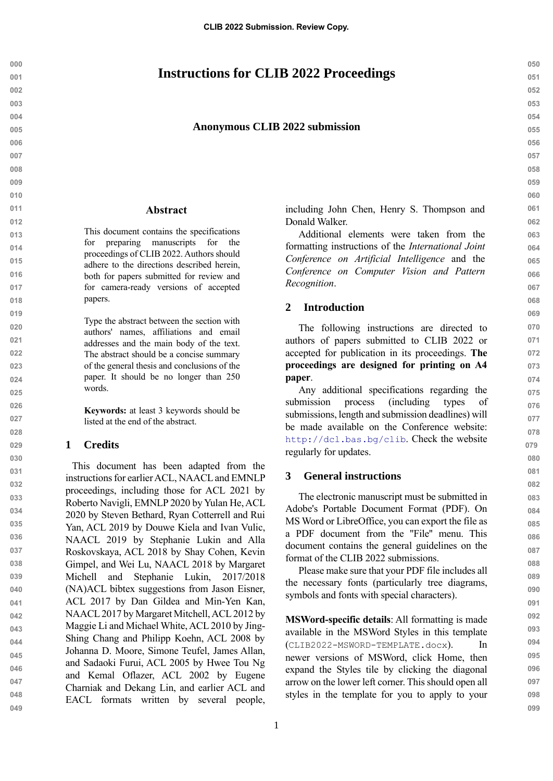# **Instructions for CLIB 2022 Proceedings**

#### **Anonymous CLIB 2022 submission**

#### **Abstract**

This document contains the specifications for preparing manuscripts for the proceedings of CLIB 2022. Authors should adhere to the directions described herein, both for papers submitted for review and for camera-ready versions of accepted papers.

Type the abstract between the section with authors' names, affiliations and email addresses and the main body of the text. The abstract should be a concise summary of the general thesis and conclusions of the paper. It should be no longer than 250 words.

**Keywords:** at least 3 keywords should be listed at the end of the abstract.

#### **1 Credits**

This document has been adapted from the instructions for earlier ACL, NAACL and EMNLP proceedings, including those for ACL 2021 by Roberto Navigli, EMNLP 2020 by Yulan He, ACL 2020 by Steven Bethard, Ryan Cotterrell and Rui Yan, ACL 2019 by Douwe Kiela and Ivan Vulic, NAACL 2019 by Stephanie Lukin and Alla Roskovskaya, ACL 2018 by Shay Cohen, Kevin Gimpel, and Wei Lu, NAACL 2018 by Margaret Michell and Stephanie Lukin, 2017/2018 (NA)ACL bibtex suggestions from Jason Eisner, ACL 2017 by Dan Gildea and Min-Yen Kan, NAACL 2017 by Margaret Mitchell, ACL 2012 by Maggie Li and Michael White, ACL 2010 by Jing-Shing Chang and Philipp Koehn, ACL 2008 by Johanna D. Moore, Simone Teufel, James Allan, and Sadaoki Furui, ACL 2005 by Hwee Tou Ng and Kemal Oflazer, ACL 2002 by Eugene Charniak and Dekang Lin, and earlier ACL and EACL formats written by several people, including John Chen, Henry S. Thompson and Donald Walker.

Additional elements were taken from the formatting instructions of the *International Joint Conference on Artificial Intelligence* and the *Conference on Computer Vision and Pattern Recognition*.

## **2 Introduction**

The following instructions are directed to authors of papers submitted to CLIB 2022 or accepted for publication in its proceedings. **The proceedings are designed for printing on A4 paper**.

Any additional specifications regarding the submission process (including types of submissions, length and submission deadlines) will be made available on the Conference website: <http://dcl.bas.bg/clib>. Check the website regularly for updates.

# **3 General instructions**

The electronic manuscript must be submitted in Adobe's Portable Document Format (PDF). On MS Word or LibreOffice, you can export the file as a PDF document from the ''File'' menu. This document contains the general guidelines on the format of the CLIB 2022 submissions.

Please make sure that your PDF file includes all the necessary fonts (particularly tree diagrams, symbols and fonts with special characters).

**MSWord-specific details**: All formatting is made available in the MSWord Styles in this template (CLIB2022-MSWORD-TEMPLATE.docx). In newer versions of MSWord, click Home, then expand the Styles tile by clicking the diagonal arrow on the lower left corner. This should open all styles in the template for you to apply to your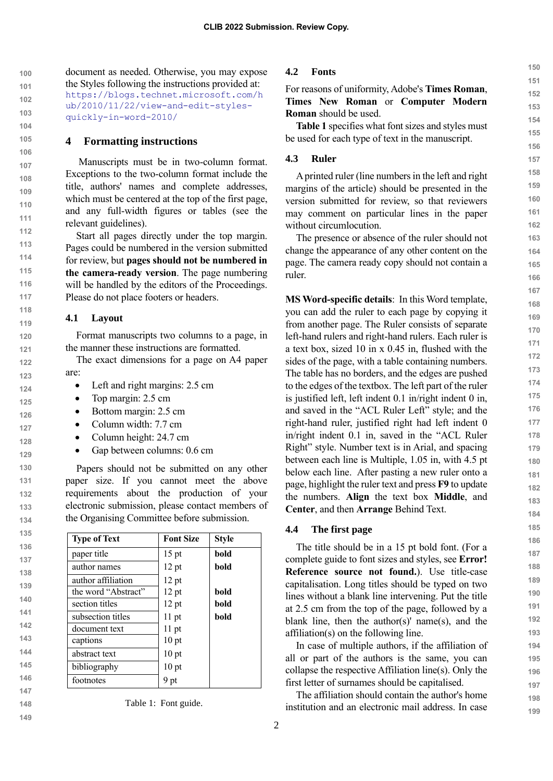**102 104** document as needed. Otherwise, you may expose the Styles following the instructions provided at: https://blogs.technet.microsoft.com/h ub/2010/11/22/view-and-edit-stylesquickly-in-word-2010/

#### **4 Formatting instructions**

Manuscripts must be in two-column format. Exceptions to the two-column format include the title, authors' names and complete addresses, which must be centered at the top of the first page, and any full-width figures or tables (see the relevant guidelines).

Start all pages directly under the top margin. Pages could be numbered in the version submitted for review, but **pages should not be numbered in the camera-ready version**. The page numbering will be handled by the editors of the Proceedings. Please do not place footers or headers.

### **4.1 Layout**

**100 101**

**103**

Format manuscripts two columns to a page, in the manner these instructions are formatted.

The exact dimensions for a page on A4 paper are:

- Left and right margins: 2.5 cm
- Top margin: 2.5 cm
- Bottom margin: 2.5 cm
- Column width: 7.7 cm
- Column height: 24.7 cm
- Gap between columns: 0.6 cm

Papers should not be submitted on any other paper size. If you cannot meet the above requirements about the production of your electronic submission, please contact members of the Organising Committee before submission.

| <b>Type of Text</b> | <b>Font Size</b> | <b>Style</b> |
|---------------------|------------------|--------------|
| paper title         | $15$ pt          | bold         |
| author names        | $12$ pt          | bold         |
| author affiliation  | $12$ pt          |              |
| the word "Abstract" | 12 pt            | bold         |
| section titles      | 12 pt            | bold         |
| subsection titles   | $11$ pt          | bold         |
| document text       | $11$ pt          |              |
| captions            | $10$ pt          |              |
| abstract text       | $10$ pt          |              |
| bibliography        | 10 <sub>pt</sub> |              |
| footnotes           | 9 pt             |              |

# **147**

**148 149**

Table 1: Font guide.

#### **4.2 Fonts**

# For reasons of uniformity, Adobe's **Times Roman**, **Times New Roman** or **Computer Modern Roman** should be used.

**Table 1** specifies what font sizes and styles must be used for each type of text in the manuscript.

#### **4.3 Ruler**

A printed ruler (line numbers in the left and right margins of the article) should be presented in the version submitted for review, so that reviewers may comment on particular lines in the paper without circumlocution.

The presence or absence of the ruler should not change the appearance of any other content on the page. The camera ready copy should not contain a ruler.

**MS Word-specific details**: In this Word template, you can add the ruler to each page by copying it from another page. The Ruler consists of separate left-hand rulers and right-hand rulers. Each ruler is a text box, sized 10 in x 0.45 in, flushed with the sides of the page, with a table containing numbers. The table has no borders, and the edges are pushed to the edges of the textbox. The left part of the ruler is justified left, left indent 0.1 in/right indent 0 in, and saved in the "ACL Ruler Left" style; and the right-hand ruler, justified right had left indent 0 in/right indent 0.1 in, saved in the "ACL Ruler Right" style. Number text is in Arial, and spacing between each line is Multiple, 1.05 in, with 4.5 pt below each line. After pasting a new ruler onto a page, highlight the ruler text and press **F9** to update the numbers. **Align** the text box **Middle**, and **Center**, and then **Arrange** Behind Text.

#### **4.4 The first page**

The title should be in a 15 pt bold font. (For a complete guide to font sizes and styles, see **Error! Reference source not found.**). Use title-case capitalisation. Long titles should be typed on two lines without a blank line intervening. Put the title at 2.5 cm from the top of the page, followed by a blank line, then the author(s)' name(s), and the affiliation(s) on the following line.

In case of multiple authors, if the affiliation of all or part of the authors is the same, you can collapse the respective Affiliation line(s). Only the first letter of surnames should be capitalised.

The affiliation should contain the author's home institution and an electronic mail address. In case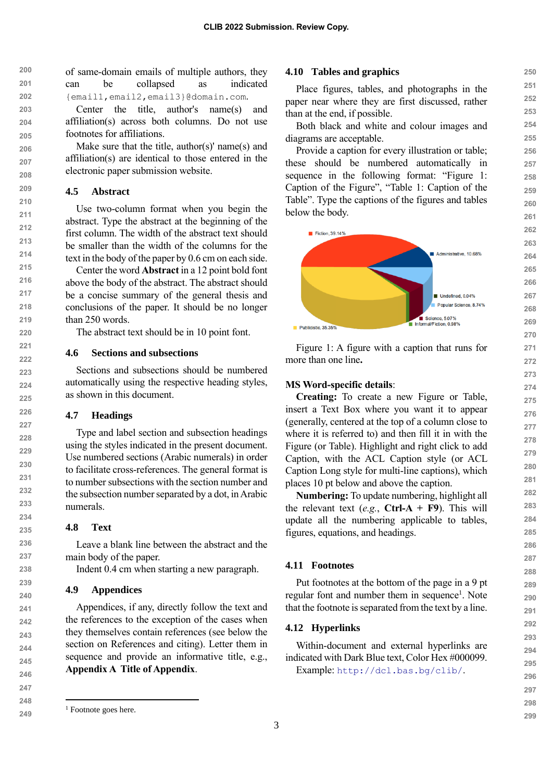**200 201 202** of same-domain emails of multiple authors, they can be collapsed as indicated {email1,email2,email3}@domain.com.

> Center the title, author's name(s) and affiliation(s) across both columns. Do not use footnotes for affiliations.

Make sure that the title, author(s)' name(s) and affiliation(s) are identical to those entered in the electronic paper submission website.

#### **4.5 Abstract**

Use two-column format when you begin the abstract. Type the abstract at the beginning of the first column. The width of the abstract text should be smaller than the width of the columns for the text in the body of the paper by 0.6 cm on each side.

Center the word **Abstract** in a 12 point bold font above the body of the abstract. The abstract should be a concise summary of the general thesis and conclusions of the paper. It should be no longer than 250 words.

The abstract text should be in 10 point font.

#### **4.6 Sections and subsections**

Sections and subsections should be numbered automatically using the respective heading styles, as shown in this document.

#### **4.7 Headings**

Type and label section and subsection headings using the styles indicated in the present document. Use numbered sections (Arabic numerals) in order to facilitate cross-references. The general format is to number subsections with the section number and the subsection number separated by a dot, in Arabic numerals.

#### **4.8 Text**

Leave a blank line between the abstract and the main body of the paper.

Indent 0.4 cm when starting a new paragraph.

#### **4.9 Appendices**

Appendices, if any, directly follow the text and the references to the exception of the cases when they themselves contain references (see below the section on References and citing). Letter them in sequence and provide an informative title, e.g., **Appendix A Title of Appendix**.

#### **4.10 Tables and graphics**

Place figures, tables, and photographs in the paper near where they are first discussed, rather than at the end, if possible.

Both black and white and colour images and diagrams are acceptable.

Provide a caption for every illustration or table; these should be numbered automatically in sequence in the following format: "Figure 1: Caption of the Figure", "Table 1: Caption of the Table". Type the captions of the figures and tables below the body.



Figure 1: A figure with a caption that runs for more than one line**.**

#### **MS Word-specific details**:

**Creating:** To create a new Figure or Table, insert a Text Box where you want it to appear (generally, centered at the top of a column close to where it is referred to) and then fill it in with the Figure (or Table). Highlight and right click to add Caption, with the ACL Caption style (or ACL Caption Long style for multi-line captions), which places 10 pt below and above the caption.

**Numbering:** To update numbering, highlight all the relevant text (*e.g.*, **Ctrl-A** + **F9**). This will update all the numbering applicable to tables, figures, equations, and headings.

#### **4.11 Footnotes**

Put footnotes at the bottom of the page in a 9 pt regular font and number them in sequence<sup>1</sup>. Note that the footnote is separated from the text by a line.

#### **4.12 Hyperlinks**

Within-document and external hyperlinks are indicated with Dark Blue text, Color Hex #000099. Example: <http://dcl.bas.bg/clib/>.

**250**

<sup>&</sup>lt;sup>1</sup> Footnote goes here.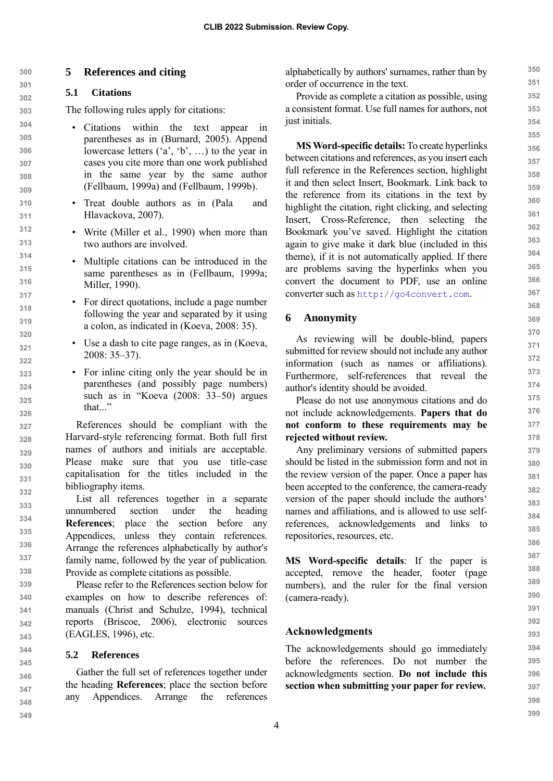# **5 References and citing**

# **5.1 Citations**

The following rules apply for citations:

- Citations within the text appear in parentheses as in (Burnard, 2005). Append lowercase letters ('a', 'b', …) to the year in cases you cite more than one work published in the same year by the same author (Fellbaum, 1999a) and (Fellbaum, 1999b).
- Treat double authors as in (Pala and Hlavackova, 2007).
- Write (Miller et al., 1990) when more than two authors are involved.
- Multiple citations can be introduced in the same parentheses as in (Fellbaum, 1999a; Miller, 1990).
- For direct quotations, include a page number following the year and separated by it using a colon, as indicated in (Koeva, 2008: 35).
- Use a dash to cite page ranges, as in (Koeva, 2008: 35–37).
- For inline citing only the year should be in parentheses (and possibly page numbers) such as in "Koeva (2008: 33–50) argues that..."

References should be compliant with the Harvard-style referencing format. Both full first names of authors and initials are acceptable. Please make sure that you use title-case capitalisation for the titles included in the bibliography items.

List all references together in a separate unnumbered section under the heading **References**; place the section before any Appendices, unless they contain references. Arrange the references alphabetically by author's family name, followed by the year of publication. Provide as complete citations as possible.

**339 340 341 342 343** Please refer to the References section below for examples on how to describe references of: manuals (Christ and Schulze, 1994), technical reports (Briscoe, 2006), electronic sources (EAGLES, 1996), etc.

### **5.2 References**

Gather the full set of references together under the heading **References**; place the section before any Appendices. Arrange the references

alphabetically by authors' surnames, rather than by order of occurrence in the text.

Provide as complete a citation as possible, using a consistent format. Use full names for authors, not just initials.

**MS Word-specific details:** To create hyperlinks between citations and references, as you insert each full reference in the References section, highlight it and then select Insert, Bookmark. Link back to the reference from its citations in the text by highlight the citation, right clicking, and selecting Insert, Cross-Reference, then selecting the Bookmark you've saved. Highlight the citation again to give make it dark blue (included in this theme), if it is not automatically applied. If there are problems saving the hyperlinks when you convert the document to PDF, use an online converter such as [http://go4convert.com](http://go4convert.com/).

# **6 Anonymity**

As reviewing will be double-blind, papers submitted for review should not include any author information (such as names or affiliations). Furthermore, self-references that reveal the author's identity should be avoided.

Please do not use anonymous citations and do not include acknowledgements. **Papers that do not conform to these requirements may be rejected without review.**

Any preliminary versions of submitted papers should be listed in the submission form and not in the review version of the paper. Once a paper has been accepted to the conference, the camera-ready version of the paper should include the authors' names and affiliations, and is allowed to use selfreferences, acknowledgements and links to repositories, resources, etc.

**MS Word-specific details**: If the paper is accepted, remove the header, footer (page numbers), and the ruler for the final version (camera-ready).

# **Acknowledgments**

The acknowledgements should go immediately before the references. Do not number the acknowledgments section. **Do not include this section when submitting your paper for review.**

**398 399**

**350 351 352**